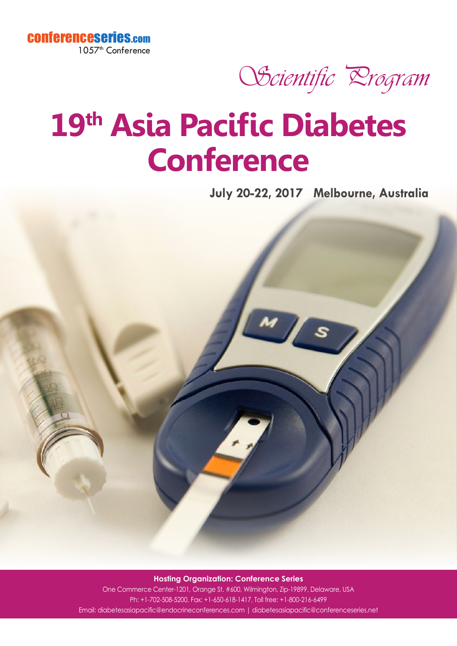



## **19th Asia Pacific Diabetes Conference**

**July 20-22, 2017 Melbourne, Australia**



**Hosting Organization: Conference Series** One Commerce Center-1201, Orange St. #600, Wilmington, Zip-19899, Delaware, USA Ph: +1-702-508-5200, Fax: +1-650-618-1417, Toll free: +1-800-216-6499

Email: diabetesasiapacific@endocrineconferences.com | diabetesasiapacific@conferenceseries.net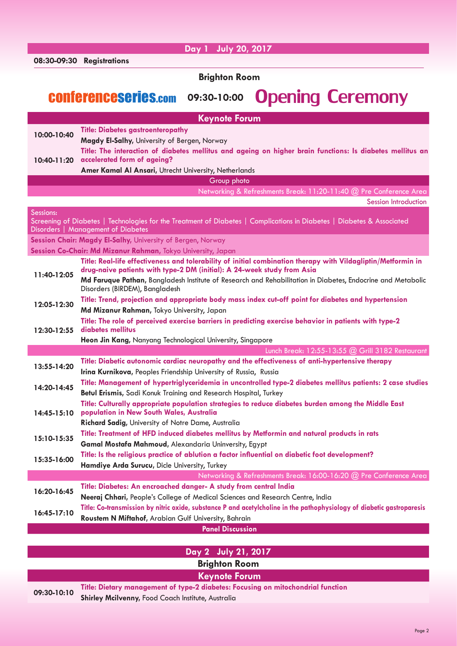|                      | Day 1 July 20, 2017                                                                                                                                                                                      |  |
|----------------------|----------------------------------------------------------------------------------------------------------------------------------------------------------------------------------------------------------|--|
|                      | 08:30-09:30 Registrations                                                                                                                                                                                |  |
| <b>Brighton Room</b> |                                                                                                                                                                                                          |  |
|                      |                                                                                                                                                                                                          |  |
|                      | <b>Opening Ceremony</b><br><b>CONferenceseries.com</b><br>09:30-10:00                                                                                                                                    |  |
|                      |                                                                                                                                                                                                          |  |
| <b>Keynote Forum</b> |                                                                                                                                                                                                          |  |
| 10:00-10:40          | <b>Title: Diabetes gastroenteropathy</b><br>Magdy El-Salhy, University of Bergen, Norway                                                                                                                 |  |
|                      | Title: The interaction of diabetes mellitus and ageing on higher brain functions: Is diabetes mellitus an                                                                                                |  |
| 10:40-11:20          | accelerated form of ageing?                                                                                                                                                                              |  |
|                      | Amer Kamal Al Ansari, Utrecht University, Netherlands                                                                                                                                                    |  |
| Group photo          |                                                                                                                                                                                                          |  |
|                      | Networking & Refreshments Break: 11:20-11:40 @ Pre Conference Area                                                                                                                                       |  |
|                      | <b>Session Introduction</b>                                                                                                                                                                              |  |
| Sessions:            | Screening of Diabetes   Technologies for the Treatment of Diabetes   Complications in Diabetes   Diabetes & Associated                                                                                   |  |
|                      | Disorders   Management of Diabetes                                                                                                                                                                       |  |
|                      | Session Chair: Magdy El-Salhy, University of Bergen, Norway                                                                                                                                              |  |
|                      | Session Co-Chair: Md Mizanur Rahman, Tokyo University, Japan                                                                                                                                             |  |
| 11:40-12:05          | Title: Real-life effectiveness and tolerability of initial combination therapy with Vildagliptin/Metformin in<br>drug-naive patients with type-2 DM (initial): A 24-week study from Asia                 |  |
|                      | Md Faruque Pathan, Bangladesh Institute of Research and Rehabilitation in Diabetes, Endocrine and Metabolic                                                                                              |  |
|                      | Disorders (BIRDEM), Bangladesh                                                                                                                                                                           |  |
| 12:05-12:30          | Title: Trend, projection and appropriate body mass index cut-off point for diabetes and hypertension                                                                                                     |  |
|                      | Md Mizanur Rahman, Tokyo University, Japan                                                                                                                                                               |  |
| 12:30-12:55          | Title: The role of perceived exercise barriers in predicting exercise behavior in patients with type-2<br>diabetes mellitus                                                                              |  |
|                      | Heon Jin Kang, Nanyang Technological University, Singapore                                                                                                                                               |  |
|                      | Lunch Break: 12:55-13:55 @ Grill 3182 Restaurant                                                                                                                                                         |  |
| 13:55-14:20          | Title: Diabetic autonomic cardiac neuropathy and the effectiveness of anti-hypertensive therapy                                                                                                          |  |
|                      | Irina Kurnikova, Peoples Friendship University of Russia, Russia                                                                                                                                         |  |
| 14:20-14:45          | Title: Management of hypertriglyceridemia in uncontrolled type-2 diabetes mellitus patients: 2 case studies                                                                                              |  |
|                      | Betul Erismis, Sadi Konuk Training and Research Hospital, Turkey                                                                                                                                         |  |
| 14:45-15:10          | Title: Culturally appropriate population strategies to reduce diabetes burden among the Middle East<br>population in New South Wales, Australia                                                          |  |
|                      | Richard Sadig, University of Notre Dame, Australia                                                                                                                                                       |  |
|                      | Title: Treatment of HFD induced diabetes mellitus by Metformin and natural products in rats                                                                                                              |  |
| 15:10-15:35          | Gamal Mostafa Mahmoud, Alexandaria Uninversity, Egypt                                                                                                                                                    |  |
| 15:35-16:00          | Title: Is the religious practice of ablution a factor influential on diabetic foot development?                                                                                                          |  |
|                      | Hamdiye Arda Surucu, Dicle University, Turkey                                                                                                                                                            |  |
|                      | Networking & Refreshments Break: 16:00-16:20 @ Pre Conference Area                                                                                                                                       |  |
| 16:20-16:45          | Title: Diabetes: An encroached danger- A study from central India                                                                                                                                        |  |
|                      | Neeraj Chhari, People's College of Medical Sciences and Research Centre, India<br>Title: Co-transmission by nitric oxide, substance P and acetylcholine in the pathophysiology of diabetic gastroparesis |  |
| 16:45-17:10          | Roustem N Miftahof, Arabian Gulf University, Bahrain                                                                                                                                                     |  |
|                      | <b>Panel Discussion</b>                                                                                                                                                                                  |  |
|                      |                                                                                                                                                                                                          |  |
|                      | Day 2 July 21, 2017                                                                                                                                                                                      |  |

**Brighton Room**

## **Keynote Forum**

**09:30-10:10 Title: Dietary management of type-2 diabetes: Focusing on mitochondrial function Shirley Mcilvenny, Food Coach Institute, Australia**